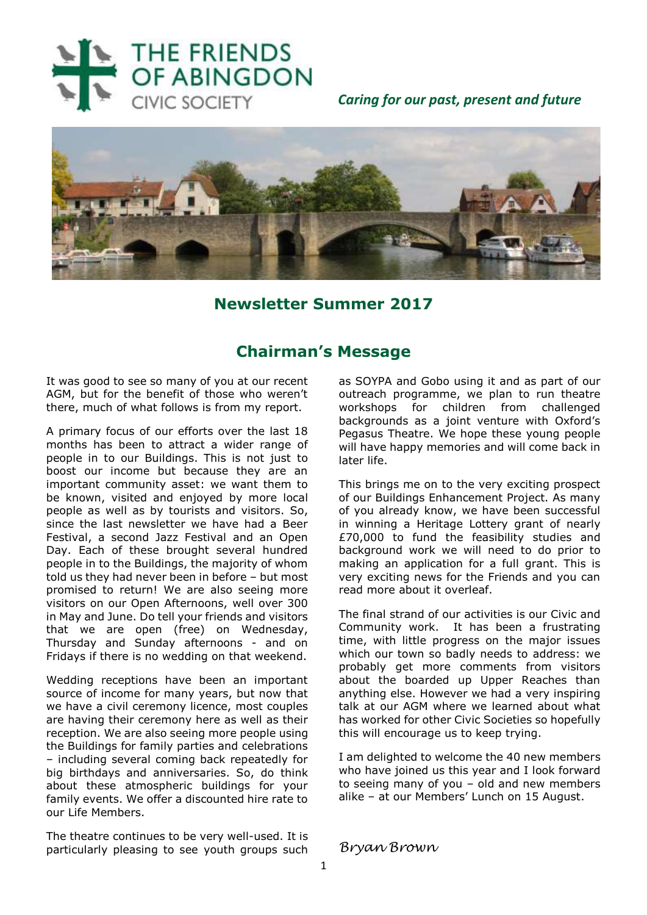

 *Caring for our past, present and future*



## **Newsletter Summer 2017**

## **Chairman's Message**

It was good to see so many of you at our recent AGM, but for the benefit of those who weren't there, much of what follows is from my report.

A primary focus of our efforts over the last 18 months has been to attract a wider range of people in to our Buildings. This is not just to boost our income but because they are an important community asset: we want them to be known, visited and enjoyed by more local people as well as by tourists and visitors. So, since the last newsletter we have had a Beer Festival, a second Jazz Festival and an Open Day. Each of these brought several hundred people in to the Buildings, the majority of whom told us they had never been in before – but most promised to return! We are also seeing more visitors on our Open Afternoons, well over 300 in May and June. Do tell your friends and visitors that we are open (free) on Wednesday, Thursday and Sunday afternoons - and on Fridays if there is no wedding on that weekend.

Wedding receptions have been an important source of income for many years, but now that we have a civil ceremony licence, most couples are having their ceremony here as well as their reception. We are also seeing more people using the Buildings for family parties and celebrations – including several coming back repeatedly for big birthdays and anniversaries. So, do think about these atmospheric buildings for your family events. We offer a discounted hire rate to our Life Members.

The theatre continues to be very well-used. It is particularly pleasing to see youth groups such

as SOYPA and Gobo using it and as part of our outreach programme, we plan to run theatre workshops for children from challenged backgrounds as a joint venture with Oxford's Pegasus Theatre. We hope these young people will have happy memories and will come back in later life.

This brings me on to the very exciting prospect of our Buildings Enhancement Project. As many of you already know, we have been successful in winning a Heritage Lottery grant of nearly £70,000 to fund the feasibility studies and background work we will need to do prior to making an application for a full grant. This is very exciting news for the Friends and you can read more about it overleaf.

The final strand of our activities is our Civic and Community work. It has been a frustrating time, with little progress on the major issues which our town so badly needs to address: we probably get more comments from visitors about the boarded up Upper Reaches than anything else. However we had a very inspiring talk at our AGM where we learned about what has worked for other Civic Societies so hopefully this will encourage us to keep trying.

I am delighted to welcome the 40 new members who have joined us this year and I look forward to seeing many of you – old and new members alike – at our Members' Lunch on 15 August.

*Bryan Brown*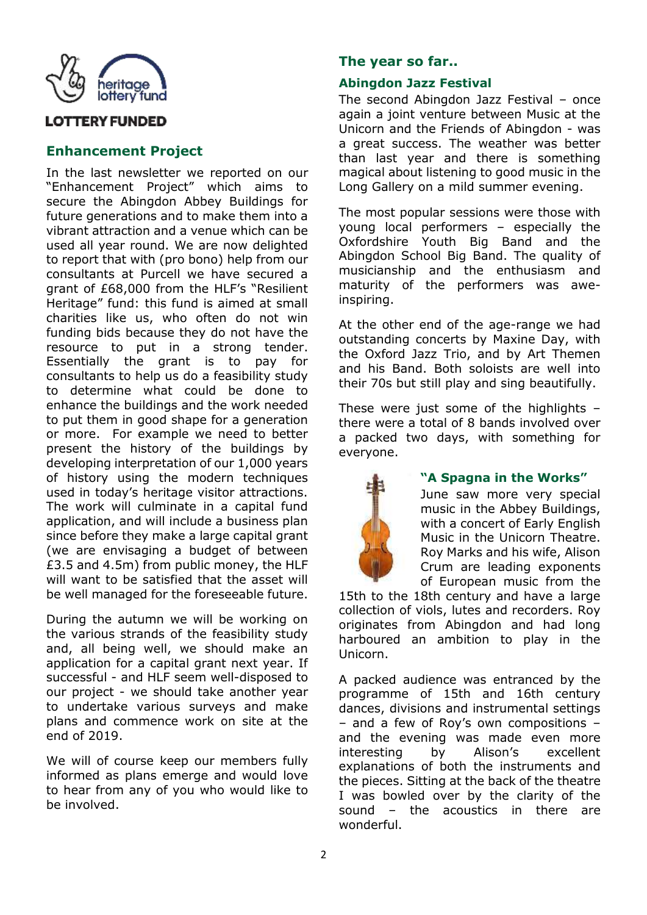

## **OTTERY FUNDED**

## **Enhancement Project**

In the last newsletter we reported on our "Enhancement Project" which aims to secure the Abingdon Abbey Buildings for future generations and to make them into a vibrant attraction and a venue which can be used all year round. We are now delighted to report that with (pro bono) help from our consultants at Purcell we have secured a grant of £68,000 from the HLF's "Resilient Heritage" fund: this fund is aimed at small charities like us, who often do not win funding bids because they do not have the resource to put in a strong tender. Essentially the grant is to pay for consultants to help us do a feasibility study to determine what could be done to enhance the buildings and the work needed to put them in good shape for a generation or more. For example we need to better present the history of the buildings by developing interpretation of our 1,000 years of history using the modern techniques used in today's heritage visitor attractions. The work will culminate in a capital fund application, and will include a business plan since before they make a large capital grant (we are envisaging a budget of between £3.5 and 4.5m) from public money, the HLF will want to be satisfied that the asset will be well managed for the foreseeable future.

During the autumn we will be working on the various strands of the feasibility study and, all being well, we should make an application for a capital grant next year. If successful - and HLF seem well-disposed to our project - we should take another year to undertake various surveys and make plans and commence work on site at the end of 2019.

We will of course keep our members fully informed as plans emerge and would love to hear from any of you who would like to be involved.

## **The year so far..**

## **Abingdon Jazz Festival**

The second Abingdon Jazz Festival – once again a joint venture between Music at the Unicorn and the Friends of Abingdon - was a great success. The weather was better than last year and there is something magical about listening to good music in the Long Gallery on a mild summer evening.

The most popular sessions were those with young local performers – especially the Oxfordshire Youth Big Band and the Abingdon School Big Band. The quality of musicianship and the enthusiasm and maturity of the performers was aweinspiring.

At the other end of the age-range we had outstanding concerts by Maxine Day, with the Oxford Jazz Trio, and by Art Themen and his Band. Both soloists are well into their 70s but still play and sing beautifully.

These were just some of the highlights – there were a total of 8 bands involved over a packed two days, with something for everyone.



#### **"A Spagna in the Works"**

June saw more very special music in the Abbey Buildings, with a concert of Early English Music in the Unicorn Theatre. Roy Marks and his wife, Alison Crum are leading exponents of European music from the

15th to the 18th century and have a large collection of viols, lutes and recorders. Roy originates from Abingdon and had long harboured an ambition to play in the Unicorn.

A packed audience was entranced by the programme of 15th and 16th century dances, divisions and instrumental settings – and a few of Roy's own compositions – and the evening was made even more interesting by Alison's excellent explanations of both the instruments and the pieces. Sitting at the back of the theatre I was bowled over by the clarity of the sound – the acoustics in there are wonderful.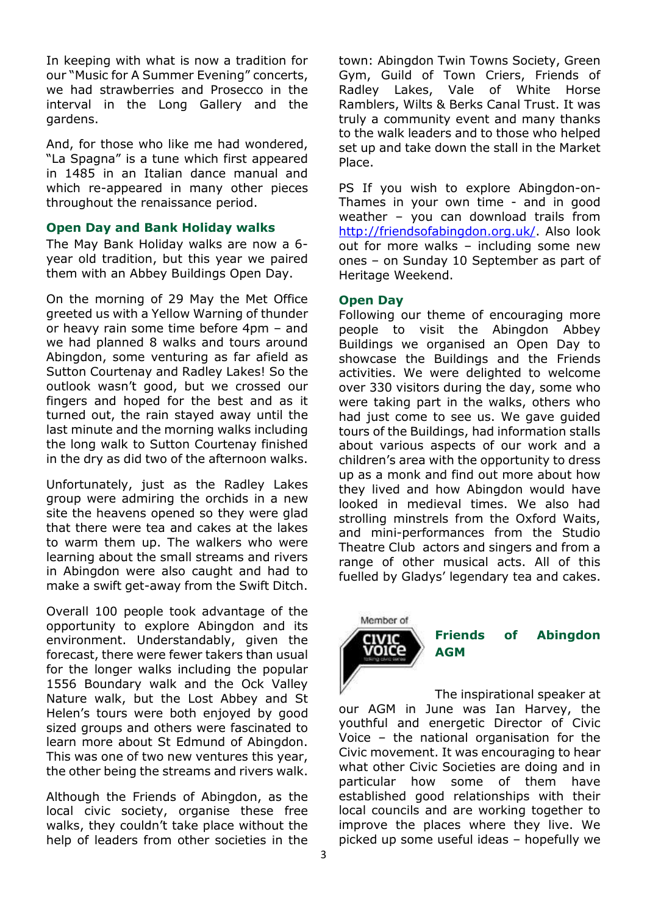In keeping with what is now a tradition for our "Music for A Summer Evening" concerts, we had strawberries and Prosecco in the interval in the Long Gallery and the gardens.

And, for those who like me had wondered, "La Spagna" is a tune which first appeared in 1485 in an Italian dance manual and which re-appeared in many other pieces throughout the renaissance period.

#### **Open Day and Bank Holiday walks**

The May Bank Holiday walks are now a 6 year old tradition, but this year we paired them with an Abbey Buildings Open Day.

On the morning of 29 May the Met Office greeted us with a Yellow Warning of thunder or heavy rain some time before 4pm – and we had planned 8 walks and tours around Abingdon, some venturing as far afield as Sutton Courtenay and Radley Lakes! So the outlook wasn't good, but we crossed our fingers and hoped for the best and as it turned out, the rain stayed away until the last minute and the morning walks including the long walk to Sutton Courtenay finished in the dry as did two of the afternoon walks.

Unfortunately, just as the Radley Lakes group were admiring the orchids in a new site the heavens opened so they were glad that there were tea and cakes at the lakes to warm them up. The walkers who were learning about the small streams and rivers in Abingdon were also caught and had to make a swift get-away from the Swift Ditch.

Overall 100 people took advantage of the opportunity to explore Abingdon and its environment. Understandably, given the forecast, there were fewer takers than usual for the longer walks including the popular 1556 Boundary walk and the Ock Valley Nature walk, but the Lost Abbey and St Helen's tours were both enjoyed by good sized groups and others were fascinated to learn more about St Edmund of Abingdon. This was one of two new ventures this year, the other being the streams and rivers walk.

Although the Friends of Abingdon, as the local civic society, organise these free walks, they couldn't take place without the help of leaders from other societies in the

town: Abingdon Twin Towns Society, Green Gym, Guild of Town Criers, Friends of Radley Lakes, Vale of White Horse Ramblers, Wilts & Berks Canal Trust. It was truly a community event and many thanks to the walk leaders and to those who helped set up and take down the stall in the Market Place.

PS If you wish to explore Abingdon-on-Thames in your own time - and in good weather – you can download trails from [http://friendsofabingdon.org.uk/.](http://friendsofabingdon.org.uk/) Also look out for more walks – including some new ones – on Sunday 10 September as part of Heritage Weekend.

#### **Open Day**

Following our theme of encouraging more people to visit the Abingdon Abbey Buildings we organised an Open Day to showcase the Buildings and the Friends activities. We were delighted to welcome over 330 visitors during the day, some who were taking part in the walks, others who had just come to see us. We gave guided tours of the Buildings, had information stalls about various aspects of our work and a children's area with the opportunity to dress up as a monk and find out more about how they lived and how Abingdon would have looked in medieval times. We also had strolling minstrels from the Oxford Waits. and mini-performances from the Studio Theatre Club actors and singers and from a range of other musical acts. All of this fuelled by Gladys' legendary tea and cakes.

# Member of voic

## **Friends of Abingdon AGM**

The inspirational speaker at our AGM in June was Ian Harvey, the youthful and energetic Director of Civic Voice – the national organisation for the Civic movement. It was encouraging to hear what other Civic Societies are doing and in particular how some of them have established good relationships with their local councils and are working together to improve the places where they live. We picked up some useful ideas – hopefully we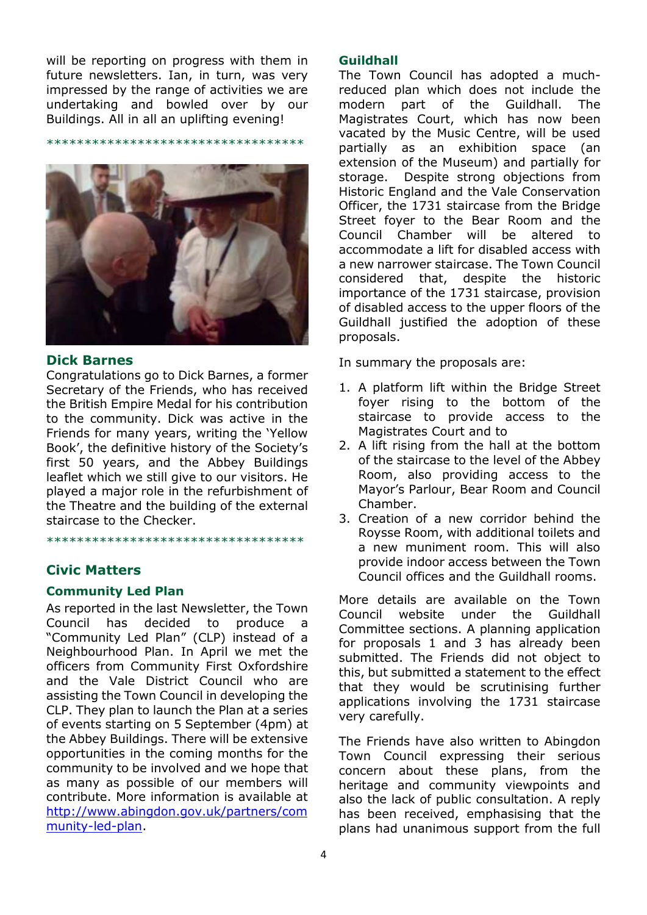will be reporting on progress with them in future newsletters. Ian, in turn, was very impressed by the range of activities we are undertaking and bowled over by our Buildings. All in all an uplifting evening!

\*\*\*\*\*\*\*\*\*\*\*\*\*\*\*\*\*\*\*\*\*\*\*\*\*\*\*\*\*\*\*\*\*\*



#### **Dick Barnes**

Congratulations go to Dick Barnes, a former Secretary of the Friends, who has received the British Empire Medal for his contribution to the community. Dick was active in the Friends for many years, writing the 'Yellow Book', the definitive history of the Society's first 50 years, and the Abbey Buildings leaflet which we still give to our visitors. He played a major role in the refurbishment of the Theatre and the building of the external staircase to the Checker.

\*\*\*\*\*\*\*\*\*\*\*\*\*\*\*\*\*\*\*\*\*\*\*\*\*\*\*\*\*\*\*\*\*\*

#### **Civic Matters**

#### **Community Led Plan**

As reported in the last Newsletter, the Town Council has decided to produce a "Community Led Plan" (CLP) instead of a Neighbourhood Plan. In April we met the officers from Community First Oxfordshire and the Vale District Council who are assisting the Town Council in developing the CLP. They plan to launch the Plan at a series of events starting on 5 September (4pm) at the Abbey Buildings. There will be extensive opportunities in the coming months for the community to be involved and we hope that as many as possible of our members will contribute. More information is available at [http://www.abingdon.gov.uk/partners/com](http://www.abingdon.gov.uk/partners/community-led-plan) [munity-led-plan.](http://www.abingdon.gov.uk/partners/community-led-plan)

#### **Guildhall**

The Town Council has adopted a muchreduced plan which does not include the modern part of the Guildhall. The Magistrates Court, which has now been vacated by the Music Centre, will be used partially as an exhibition space (an extension of the Museum) and partially for storage. Despite strong objections from Historic England and the Vale Conservation Officer, the 1731 staircase from the Bridge Street foyer to the Bear Room and the Council Chamber will be altered to accommodate a lift for disabled access with a new narrower staircase. The Town Council considered that, despite the historic importance of the 1731 staircase, provision of disabled access to the upper floors of the Guildhall justified the adoption of these proposals.

In summary the proposals are:

- 1. A platform lift within the Bridge Street foyer rising to the bottom of the staircase to provide access to the Magistrates Court and to
- 2. A lift rising from the hall at the bottom of the staircase to the level of the Abbey Room, also providing access to the Mayor's Parlour, Bear Room and Council Chamber.
- 3. Creation of a new corridor behind the Roysse Room, with additional toilets and a new muniment room. This will also provide indoor access between the Town Council offices and the Guildhall rooms.

More details are available on the Town Council website under the Guildhall Committee sections. A planning application for proposals 1 and 3 has already been submitted. The Friends did not object to this, but submitted a statement to the effect that they would be scrutinising further applications involving the 1731 staircase very carefully.

The Friends have also written to Abingdon Town Council expressing their serious concern about these plans, from the heritage and community viewpoints and also the lack of public consultation. A reply has been received, emphasising that the plans had unanimous support from the full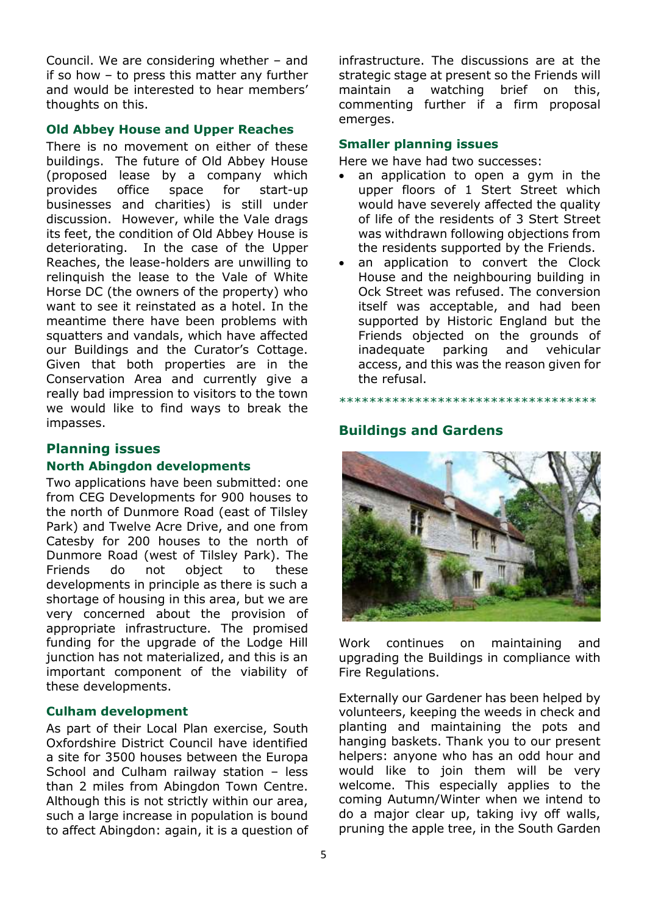Council. We are considering whether – and if so how – to press this matter any further and would be interested to hear members' thoughts on this.

#### **Old Abbey House and Upper Reaches**

There is no movement on either of these buildings. The future of Old Abbey House (proposed lease by a company which provides office space for start-up businesses and charities) is still under discussion. However, while the Vale drags its feet, the condition of Old Abbey House is deteriorating. In the case of the Upper Reaches, the lease-holders are unwilling to relinquish the lease to the Vale of White Horse DC (the owners of the property) who want to see it reinstated as a hotel. In the meantime there have been problems with squatters and vandals, which have affected our Buildings and the Curator's Cottage. Given that both properties are in the Conservation Area and currently give a really bad impression to visitors to the town we would like to find ways to break the impasses.

#### **Planning issues**

#### **North Abingdon developments**

Two applications have been submitted: one from CEG Developments for 900 houses to the north of Dunmore Road (east of Tilsley Park) and Twelve Acre Drive, and one from Catesby for 200 houses to the north of Dunmore Road (west of Tilsley Park). The Friends do not object to these developments in principle as there is such a shortage of housing in this area, but we are very concerned about the provision of appropriate infrastructure. The promised funding for the upgrade of the Lodge Hill junction has not materialized, and this is an important component of the viability of these developments.

#### **Culham development**

As part of their Local Plan exercise, South Oxfordshire District Council have identified a site for 3500 houses between the Europa School and Culham railway station – less than 2 miles from Abingdon Town Centre. Although this is not strictly within our area, such a large increase in population is bound to affect Abingdon: again, it is a question of infrastructure. The discussions are at the strategic stage at present so the Friends will maintain a watching brief on this, commenting further if a firm proposal emerges.

#### **Smaller planning issues**

Here we have had two successes:

- an application to open a gym in the upper floors of 1 Stert Street which would have severely affected the quality of life of the residents of 3 Stert Street was withdrawn following objections from the residents supported by the Friends.
- an application to convert the Clock House and the neighbouring building in Ock Street was refused. The conversion itself was acceptable, and had been supported by Historic England but the Friends objected on the grounds of inadequate parking and vehicular access, and this was the reason given for the refusal.

\*\*\*\*\*\*\*\*\*\*\*\*\*\*\*\*\*\*\*\*\*\*\*\*\*\*\*\*\*\*\*\*\*\*

## **Buildings and Gardens**



Work continues on maintaining and upgrading the Buildings in compliance with Fire Regulations.

Externally our Gardener has been helped by volunteers, keeping the weeds in check and planting and maintaining the pots and hanging baskets. Thank you to our present helpers: anyone who has an odd hour and would like to join them will be very welcome. This especially applies to the coming Autumn/Winter when we intend to do a major clear up, taking ivy off walls, pruning the apple tree, in the South Garden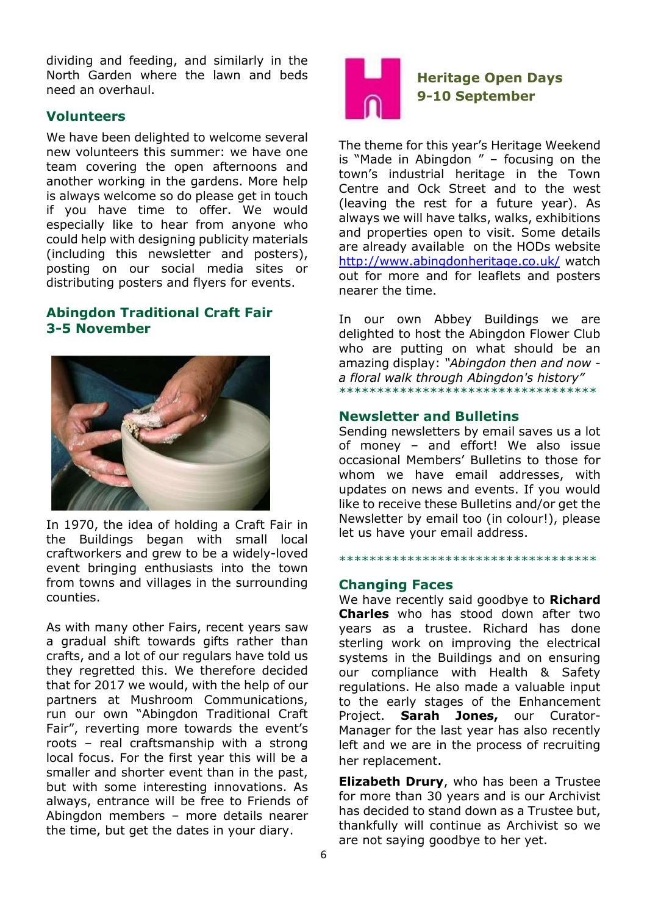dividing and feeding, and similarly in the North Garden where the lawn and beds need an overhaul.

## **Volunteers**

We have been delighted to welcome several new volunteers this summer: we have one team covering the open afternoons and another working in the gardens. More help is always welcome so do please get in touch if you have time to offer. We would especially like to hear from anyone who could help with designing publicity materials (including this newsletter and posters), posting on our social media sites or distributing posters and flyers for events.

## **Abingdon Traditional Craft Fair 3-5 November**



In 1970, the idea of holding a Craft Fair in the Buildings began with small local craftworkers and grew to be a widely-loved event bringing enthusiasts into the town from towns and villages in the surrounding counties.

As with many other Fairs, recent years saw a gradual shift towards gifts rather than crafts, and a lot of our regulars have told us they regretted this. We therefore decided that for 2017 we would, with the help of our partners at Mushroom Communications, run our own "Abingdon Traditional Craft Fair", reverting more towards the event's roots – real craftsmanship with a strong local focus. For the first year this will be a smaller and shorter event than in the past, but with some interesting innovations. As always, entrance will be free to Friends of Abingdon members – more details nearer the time, but get the dates in your diary.



**Heritage Open Days 9-10 September**

The theme for this year's Heritage Weekend is "Made in Abingdon " – focusing on the town's industrial heritage in the Town Centre and Ock Street and to the west (leaving the rest for a future year). As always we will have talks, walks, exhibitions and properties open to visit. Some details are already available on the HODs website <http://www.abingdonheritage.co.uk/> watch out for more and for leaflets and posters nearer the time.

In our own Abbey Buildings we are delighted to host the Abingdon Flower Club who are putting on what should be an amazing display: *"Abingdon then and now a floral walk through Abingdon's history"* \*\*\*\*\*\*\*\*\*\*\*\*\*\*\*\*\*\*\*\*\*\*\*\*\*\*\*\*\*\*\*\*\*\*

#### **Newsletter and Bulletins**

Sending newsletters by email saves us a lot of money – and effort! We also issue occasional Members' Bulletins to those for whom we have email addresses, with updates on news and events. If you would like to receive these Bulletins and/or get the Newsletter by email too (in colour!), please let us have your email address.

#### \*\*\*\*\*\*\*\*\*\*\*\*\*\*\*\*\*\*\*\*\*\*\*\*\*\*\*\*\*\*\*\*\*\*

#### **Changing Faces**

We have recently said goodbye to **Richard Charles** who has stood down after two years as a trustee. Richard has done sterling work on improving the electrical systems in the Buildings and on ensuring our compliance with Health & Safety regulations. He also made a valuable input to the early stages of the Enhancement Project. **Sarah Jones,** our Curator-Manager for the last year has also recently left and we are in the process of recruiting her replacement.

**Elizabeth Drury**, who has been a Trustee for more than 30 years and is our Archivist has decided to stand down as a Trustee but, thankfully will continue as Archivist so we are not saying goodbye to her yet.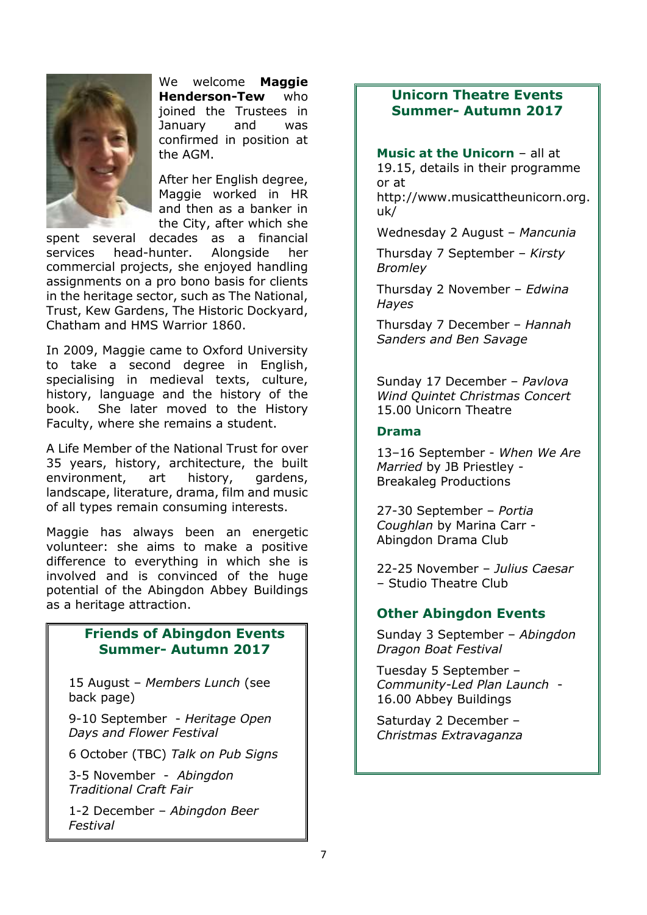

We welcome **Maggie Henderson-Tew** who joined the Trustees in January and was confirmed in position at the AGM.

After her English degree, Maggie worked in HR and then as a banker in the City, after which she

spent several decades as a financial services head-hunter. Alongside her commercial projects, she enjoyed handling assignments on a pro bono basis for clients in the heritage sector, such as The National, Trust, Kew Gardens, The Historic Dockyard, Chatham and HMS Warrior 1860.

In 2009, Maggie came to Oxford University to take a second degree in English, specialising in medieval texts, culture, history, language and the history of the book. She later moved to the History Faculty, where she remains a student.

A Life Member of the National Trust for over 35 years, history, architecture, the built environment, art history, gardens, landscape, literature, drama, film and music of all types remain consuming interests.

Maggie has always been an energetic volunteer: she aims to make a positive difference to everything in which she is involved and is convinced of the huge potential of the Abingdon Abbey Buildings as a heritage attraction.

## **Friends of Abingdon Events Summer- Autumn 2017**

15 August – *Members Lunch* (see back page)

9-10 September - *Heritage Open Days and Flower Festival*

6 October (TBC) *Talk on Pub Signs*

3-5 November - *Abingdon Traditional Craft Fair*

1-2 December – *Abingdon Beer Festival*

## **Unicorn Theatre Events Summer- Autumn 2017**

**Music at the Unicorn** – all at 19.15, details in their programme or at

http://www.musicattheunicorn.org. uk/

Wednesday 2 August – *Mancunia*

Thursday 7 September – *Kirsty Bromley*

Thursday 2 November – *Edwina Hayes*

Thursday 7 December – *Hannah Sanders and Ben Savage*

Sunday 17 December – *Pavlova Wind Quintet Christmas Concert*  15.00 Unicorn Theatre

#### **Drama**

13–16 September - *When We Are Married* by JB Priestley - Breakaleg Productions

27-30 September – *Portia Coughlan* by Marina Carr - Abingdon Drama Club

22-25 November – *Julius Caesar* – Studio Theatre Club

## **Other Abingdon Events**

Sunday 3 September – *Abingdon Dragon Boat Festival*

Tuesday 5 September – *Community-Led Plan Launch* - 16.00 Abbey Buildings

Saturday 2 December – *Christmas Extravaganza*